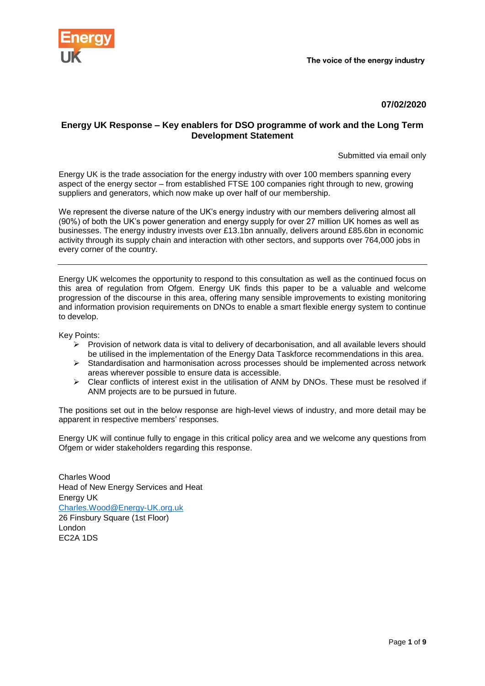

## **07/02/2020**

## **Energy UK Response – Key enablers for DSO programme of work and the Long Term Development Statement**

Submitted via email only

Energy UK is the trade association for the energy industry with over 100 members spanning every aspect of the energy sector – from established FTSE 100 companies right through to new, growing suppliers and generators, which now make up over half of our membership.

We represent the diverse nature of the UK's energy industry with our members delivering almost all (90%) of both the UK's power generation and energy supply for over 27 million UK homes as well as businesses. The energy industry invests over £13.1bn annually, delivers around £85.6bn in economic activity through its supply chain and interaction with other sectors, and supports over 764,000 jobs in every corner of the country.

Energy UK welcomes the opportunity to respond to this consultation as well as the continued focus on this area of regulation from Ofgem. Energy UK finds this paper to be a valuable and welcome progression of the discourse in this area, offering many sensible improvements to existing monitoring and information provision requirements on DNOs to enable a smart flexible energy system to continue to develop.

Key Points:

- $\triangleright$  Provision of network data is vital to delivery of decarbonisation, and all available levers should be utilised in the implementation of the Energy Data Taskforce recommendations in this area.
- $\triangleright$  Standardisation and harmonisation across processes should be implemented across network areas wherever possible to ensure data is accessible.
- $\triangleright$  Clear conflicts of interest exist in the utilisation of ANM by DNOs. These must be resolved if ANM projects are to be pursued in future.

The positions set out in the below response are high-level views of industry, and more detail may be apparent in respective members' responses.

Energy UK will continue fully to engage in this critical policy area and we welcome any questions from Ofgem or wider stakeholders regarding this response.

Charles Wood Head of New Energy Services and Heat Energy UK [Charles.Wood@Energy-UK.org.uk](mailto:Charles.Wood@Energy-UK.org.uk) 26 Finsbury Square (1st Floor) London EC2A 1DS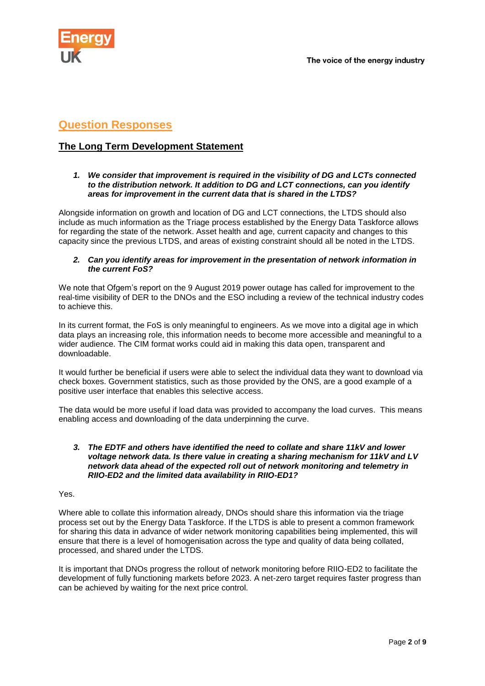

# **Question Responses**

## **The Long Term Development Statement**

## *1. We consider that improvement is required in the visibility of DG and LCTs connected to the distribution network. It addition to DG and LCT connections, can you identify areas for improvement in the current data that is shared in the LTDS?*

Alongside information on growth and location of DG and LCT connections, the LTDS should also include as much information as the Triage process established by the Energy Data Taskforce allows for regarding the state of the network. Asset health and age, current capacity and changes to this capacity since the previous LTDS, and areas of existing constraint should all be noted in the LTDS.

## *2. Can you identify areas for improvement in the presentation of network information in the current FoS?*

We note that Ofgem's report on the 9 August 2019 power outage has called for improvement to the real-time visibility of DER to the DNOs and the ESO including a review of the technical industry codes to achieve this.

In its current format, the FoS is only meaningful to engineers. As we move into a digital age in which data plays an increasing role, this information needs to become more accessible and meaningful to a wider audience. The CIM format works could aid in making this data open, transparent and downloadable.

It would further be beneficial if users were able to select the individual data they want to download via check boxes. Government statistics, such as those provided by the ONS, are a good example of a positive user interface that enables this selective access.

The data would be more useful if load data was provided to accompany the load curves. This means enabling access and downloading of the data underpinning the curve.

### *3. The EDTF and others have identified the need to collate and share 11kV and lower voltage network data. Is there value in creating a sharing mechanism for 11kV and LV network data ahead of the expected roll out of network monitoring and telemetry in RIIO-ED2 and the limited data availability in RIIO-ED1?*

## Yes.

Where able to collate this information already, DNOs should share this information via the triage process set out by the Energy Data Taskforce. If the LTDS is able to present a common framework for sharing this data in advance of wider network monitoring capabilities being implemented, this will ensure that there is a level of homogenisation across the type and quality of data being collated, processed, and shared under the LTDS.

It is important that DNOs progress the rollout of network monitoring before RIIO-ED2 to facilitate the development of fully functioning markets before 2023. A net-zero target requires faster progress than can be achieved by waiting for the next price control.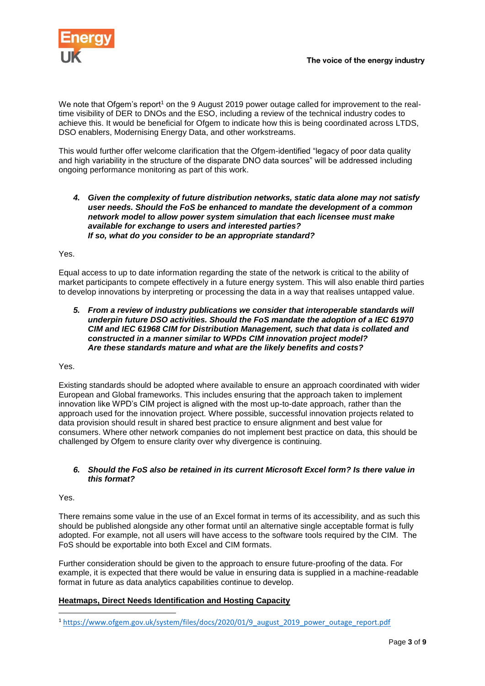

We note that Ofgem's report<sup>1</sup> on the 9 August 2019 power outage called for improvement to the realtime visibility of DER to DNOs and the ESO, including a review of the technical industry codes to achieve this. It would be beneficial for Ofgem to indicate how this is being coordinated across LTDS, DSO enablers, Modernising Energy Data, and other workstreams.

This would further offer welcome clarification that the Ofgem-identified "legacy of poor data quality and high variability in the structure of the disparate DNO data sources" will be addressed including ongoing performance monitoring as part of this work.

#### *4. Given the complexity of future distribution networks, static data alone may not satisfy user needs. Should the FoS be enhanced to mandate the development of a common network model to allow power system simulation that each licensee must make available for exchange to users and interested parties? If so, what do you consider to be an appropriate standard?*

Yes.

Equal access to up to date information regarding the state of the network is critical to the ability of market participants to compete effectively in a future energy system. This will also enable third parties to develop innovations by interpreting or processing the data in a way that realises untapped value.

*5. From a review of industry publications we consider that interoperable standards will underpin future DSO activities. Should the FoS mandate the adoption of a IEC 61970 CIM and IEC 61968 CIM for Distribution Management, such that data is collated and constructed in a manner similar to WPDs CIM innovation project model? Are these standards mature and what are the likely benefits and costs?* 

Yes.

Existing standards should be adopted where available to ensure an approach coordinated with wider European and Global frameworks. This includes ensuring that the approach taken to implement innovation like WPD's CIM project is aligned with the most up-to-date approach, rather than the approach used for the innovation project. Where possible, successful innovation projects related to data provision should result in shared best practice to ensure alignment and best value for consumers. Where other network companies do not implement best practice on data, this should be challenged by Ofgem to ensure clarity over why divergence is continuing.

## *6. Should the FoS also be retained in its current Microsoft Excel form? Is there value in this format?*

Yes.

**.** 

There remains some value in the use of an Excel format in terms of its accessibility, and as such this should be published alongside any other format until an alternative single acceptable format is fully adopted. For example, not all users will have access to the software tools required by the CIM. The FoS should be exportable into both Excel and CIM formats.

Further consideration should be given to the approach to ensure future-proofing of the data. For example, it is expected that there would be value in ensuring data is supplied in a machine-readable format in future as data analytics capabilities continue to develop.

## **Heatmaps, Direct Needs Identification and Hosting Capacity**

<sup>1</sup> [https://www.ofgem.gov.uk/system/files/docs/2020/01/9\\_august\\_2019\\_power\\_outage\\_report.pdf](https://www.ofgem.gov.uk/system/files/docs/2020/01/9_august_2019_power_outage_report.pdf)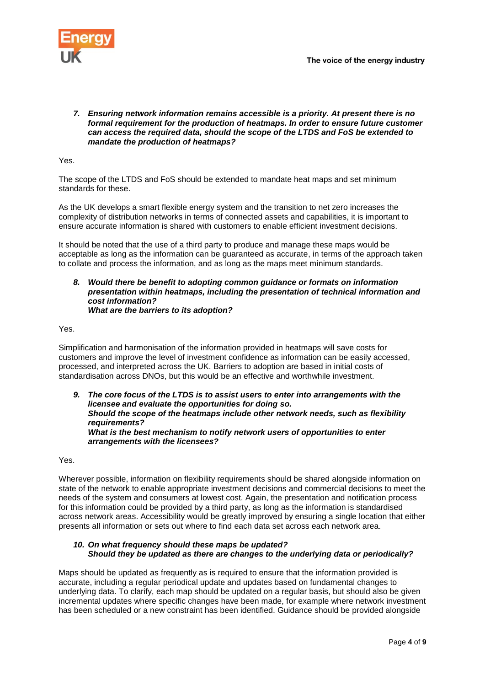

*7. Ensuring network information remains accessible is a priority. At present there is no formal requirement for the production of heatmaps. In order to ensure future customer can access the required data, should the scope of the LTDS and FoS be extended to mandate the production of heatmaps?* 

Yes.

The scope of the LTDS and FoS should be extended to mandate heat maps and set minimum standards for these.

As the UK develops a smart flexible energy system and the transition to net zero increases the complexity of distribution networks in terms of connected assets and capabilities, it is important to ensure accurate information is shared with customers to enable efficient investment decisions.

It should be noted that the use of a third party to produce and manage these maps would be acceptable as long as the information can be guaranteed as accurate, in terms of the approach taken to collate and process the information, and as long as the maps meet minimum standards.

#### *8. Would there be benefit to adopting common guidance or formats on information presentation within heatmaps, including the presentation of technical information and cost information? What are the barriers to its adoption?*

Yes.

Simplification and harmonisation of the information provided in heatmaps will save costs for customers and improve the level of investment confidence as information can be easily accessed, processed, and interpreted across the UK. Barriers to adoption are based in initial costs of standardisation across DNOs, but this would be an effective and worthwhile investment.

*9. The core focus of the LTDS is to assist users to enter into arrangements with the licensee and evaluate the opportunities for doing so. Should the scope of the heatmaps include other network needs, such as flexibility requirements? What is the best mechanism to notify network users of opportunities to enter arrangements with the licensees?* 

Yes.

Wherever possible, information on flexibility requirements should be shared alongside information on state of the network to enable appropriate investment decisions and commercial decisions to meet the needs of the system and consumers at lowest cost. Again, the presentation and notification process for this information could be provided by a third party, as long as the information is standardised across network areas. Accessibility would be greatly improved by ensuring a single location that either presents all information or sets out where to find each data set across each network area.

## *10. On what frequency should these maps be updated? Should they be updated as there are changes to the underlying data or periodically?*

Maps should be updated as frequently as is required to ensure that the information provided is accurate, including a regular periodical update and updates based on fundamental changes to underlying data. To clarify, each map should be updated on a regular basis, but should also be given incremental updates where specific changes have been made, for example where network investment has been scheduled or a new constraint has been identified. Guidance should be provided alongside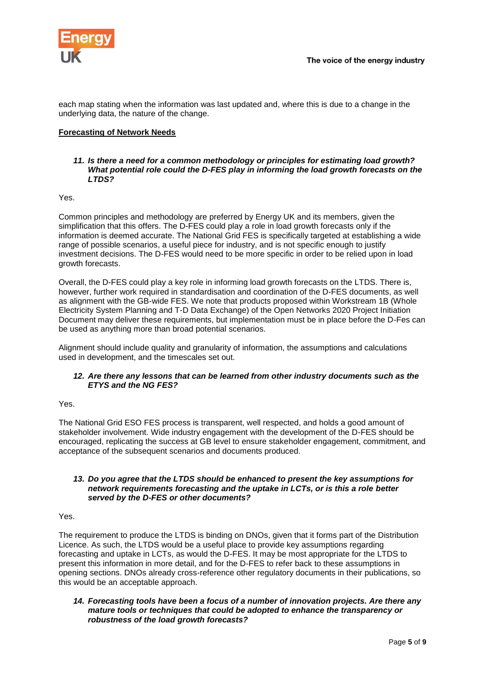

each map stating when the information was last updated and, where this is due to a change in the underlying data, the nature of the change.

## **Forecasting of Network Needs**

## *11. Is there a need for a common methodology or principles for estimating load growth? What potential role could the D-FES play in informing the load growth forecasts on the LTDS?*

Yes.

Common principles and methodology are preferred by Energy UK and its members, given the simplification that this offers. The D-FES could play a role in load growth forecasts only if the information is deemed accurate. The National Grid FES is specifically targeted at establishing a wide range of possible scenarios, a useful piece for industry, and is not specific enough to justify investment decisions. The D-FES would need to be more specific in order to be relied upon in load growth forecasts.

Overall, the D-FES could play a key role in informing load growth forecasts on the LTDS. There is, however, further work required in standardisation and coordination of the D-FES documents, as well as alignment with the GB-wide FES. We note that products proposed within Workstream 1B (Whole Electricity System Planning and T-D Data Exchange) of the Open Networks 2020 Project Initiation Document may deliver these requirements, but implementation must be in place before the D-Fes can be used as anything more than broad potential scenarios.

Alignment should include quality and granularity of information, the assumptions and calculations used in development, and the timescales set out.

## *12. Are there any lessons that can be learned from other industry documents such as the ETYS and the NG FES?*

#### Yes.

The National Grid ESO FES process is transparent, well respected, and holds a good amount of stakeholder involvement. Wide industry engagement with the development of the D-FES should be encouraged, replicating the success at GB level to ensure stakeholder engagement, commitment, and acceptance of the subsequent scenarios and documents produced.

## *13. Do you agree that the LTDS should be enhanced to present the key assumptions for network requirements forecasting and the uptake in LCTs, or is this a role better served by the D-FES or other documents?*

#### Yes.

The requirement to produce the LTDS is binding on DNOs, given that it forms part of the Distribution Licence. As such, the LTDS would be a useful place to provide key assumptions regarding forecasting and uptake in LCTs, as would the D-FES. It may be most appropriate for the LTDS to present this information in more detail, and for the D-FES to refer back to these assumptions in opening sections. DNOs already cross-reference other regulatory documents in their publications, so this would be an acceptable approach.

*14. Forecasting tools have been a focus of a number of innovation projects. Are there any mature tools or techniques that could be adopted to enhance the transparency or robustness of the load growth forecasts?*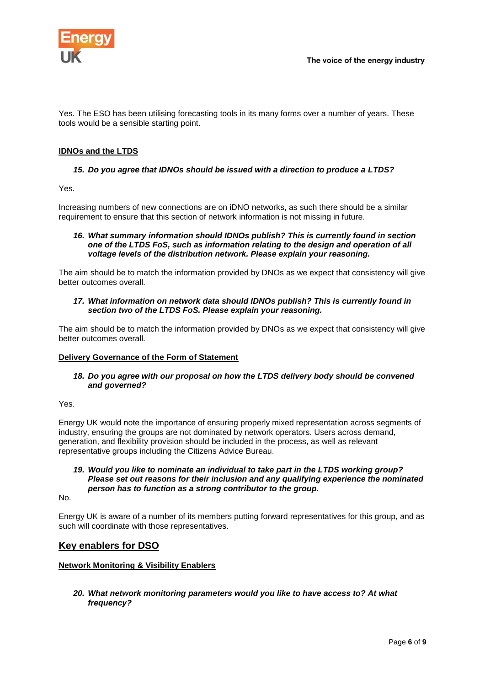

Yes. The ESO has been utilising forecasting tools in its many forms over a number of years. These tools would be a sensible starting point.

## **IDNOs and the LTDS**

## *15. Do you agree that IDNOs should be issued with a direction to produce a LTDS?*

Yes.

Increasing numbers of new connections are on iDNO networks, as such there should be a similar requirement to ensure that this section of network information is not missing in future.

#### *16. What summary information should IDNOs publish? This is currently found in section one of the LTDS FoS, such as information relating to the design and operation of all voltage levels of the distribution network. Please explain your reasoning.*

The aim should be to match the information provided by DNOs as we expect that consistency will give better outcomes overall.

## *17. What information on network data should IDNOs publish? This is currently found in section two of the LTDS FoS. Please explain your reasoning.*

The aim should be to match the information provided by DNOs as we expect that consistency will give better outcomes overall.

#### **Delivery Governance of the Form of Statement**

## *18. Do you agree with our proposal on how the LTDS delivery body should be convened and governed?*

Yes.

Energy UK would note the importance of ensuring properly mixed representation across segments of industry, ensuring the groups are not dominated by network operators. Users across demand, generation, and flexibility provision should be included in the process, as well as relevant representative groups including the Citizens Advice Bureau.

#### *19. Would you like to nominate an individual to take part in the LTDS working group? Please set out reasons for their inclusion and any qualifying experience the nominated person has to function as a strong contributor to the group.*

No.

Energy UK is aware of a number of its members putting forward representatives for this group, and as such will coordinate with those representatives.

## **Key enablers for DSO**

## **Network Monitoring & Visibility Enablers**

*20. What network monitoring parameters would you like to have access to? At what frequency?*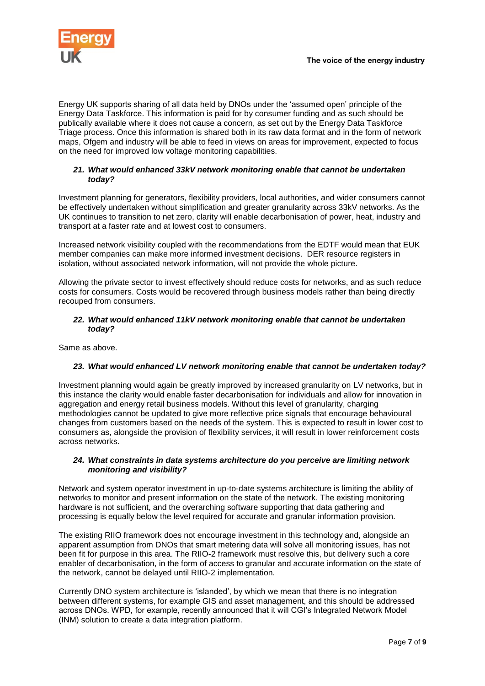

Energy UK supports sharing of all data held by DNOs under the 'assumed open' principle of the Energy Data Taskforce. This information is paid for by consumer funding and as such should be publically available where it does not cause a concern, as set out by the Energy Data Taskforce Triage process. Once this information is shared both in its raw data format and in the form of network maps, Ofgem and industry will be able to feed in views on areas for improvement, expected to focus on the need for improved low voltage monitoring capabilities.

## *21. What would enhanced 33kV network monitoring enable that cannot be undertaken today?*

Investment planning for generators, flexibility providers, local authorities, and wider consumers cannot be effectively undertaken without simplification and greater granularity across 33kV networks. As the UK continues to transition to net zero, clarity will enable decarbonisation of power, heat, industry and transport at a faster rate and at lowest cost to consumers.

Increased network visibility coupled with the recommendations from the EDTF would mean that EUK member companies can make more informed investment decisions. DER resource registers in isolation, without associated network information, will not provide the whole picture.

Allowing the private sector to invest effectively should reduce costs for networks, and as such reduce costs for consumers. Costs would be recovered through business models rather than being directly recouped from consumers.

## *22. What would enhanced 11kV network monitoring enable that cannot be undertaken today?*

Same as above.

## *23. What would enhanced LV network monitoring enable that cannot be undertaken today?*

Investment planning would again be greatly improved by increased granularity on LV networks, but in this instance the clarity would enable faster decarbonisation for individuals and allow for innovation in aggregation and energy retail business models. Without this level of granularity, charging methodologies cannot be updated to give more reflective price signals that encourage behavioural changes from customers based on the needs of the system. This is expected to result in lower cost to consumers as, alongside the provision of flexibility services, it will result in lower reinforcement costs across networks.

## *24. What constraints in data systems architecture do you perceive are limiting network monitoring and visibility?*

Network and system operator investment in up-to-date systems architecture is limiting the ability of networks to monitor and present information on the state of the network. The existing monitoring hardware is not sufficient, and the overarching software supporting that data gathering and processing is equally below the level required for accurate and granular information provision.

The existing RIIO framework does not encourage investment in this technology and, alongside an apparent assumption from DNOs that smart metering data will solve all monitoring issues, has not been fit for purpose in this area. The RIIO-2 framework must resolve this, but delivery such a core enabler of decarbonisation, in the form of access to granular and accurate information on the state of the network, cannot be delayed until RIIO-2 implementation.

Currently DNO system architecture is 'islanded', by which we mean that there is no integration between different systems, for example GIS and asset management, and this should be addressed across DNOs. WPD, for example, recently announced that it will CGI's Integrated Network Model (INM) solution to create a data integration platform.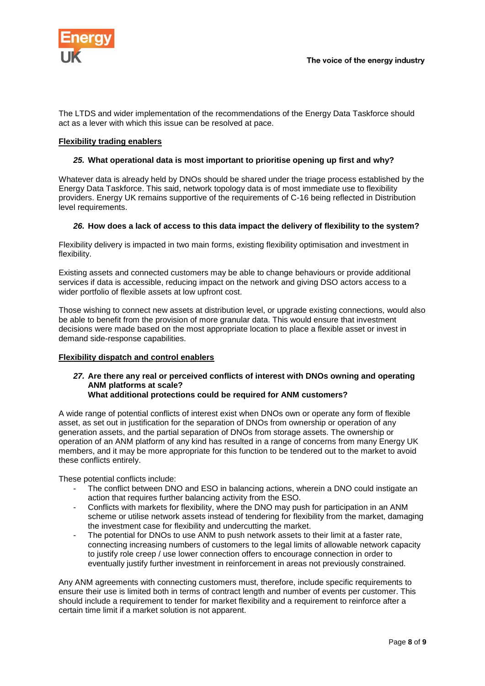

The LTDS and wider implementation of the recommendations of the Energy Data Taskforce should act as a lever with which this issue can be resolved at pace.

## **Flexibility trading enablers**

## *25.* **What operational data is most important to prioritise opening up first and why?**

Whatever data is already held by DNOs should be shared under the triage process established by the Energy Data Taskforce. This said, network topology data is of most immediate use to flexibility providers. Energy UK remains supportive of the requirements of C-16 being reflected in Distribution level requirements.

## *26.* **How does a lack of access to this data impact the delivery of flexibility to the system?**

Flexibility delivery is impacted in two main forms, existing flexibility optimisation and investment in flexibility.

Existing assets and connected customers may be able to change behaviours or provide additional services if data is accessible, reducing impact on the network and giving DSO actors access to a wider portfolio of flexible assets at low upfront cost.

Those wishing to connect new assets at distribution level, or upgrade existing connections, would also be able to benefit from the provision of more granular data. This would ensure that investment decisions were made based on the most appropriate location to place a flexible asset or invest in demand side-response capabilities.

#### **Flexibility dispatch and control enablers**

#### *27.* **Are there any real or perceived conflicts of interest with DNOs owning and operating ANM platforms at scale? What additional protections could be required for ANM customers?**

A wide range of potential conflicts of interest exist when DNOs own or operate any form of flexible asset, as set out in justification for the separation of DNOs from ownership or operation of any generation assets, and the partial separation of DNOs from storage assets. The ownership or operation of an ANM platform of any kind has resulted in a range of concerns from many Energy UK members, and it may be more appropriate for this function to be tendered out to the market to avoid these conflicts entirely.

These potential conflicts include:

- The conflict between DNO and ESO in balancing actions, wherein a DNO could instigate an action that requires further balancing activity from the ESO.
- Conflicts with markets for flexibility, where the DNO may push for participation in an ANM scheme or utilise network assets instead of tendering for flexibility from the market, damaging the investment case for flexibility and undercutting the market.
- The potential for DNOs to use ANM to push network assets to their limit at a faster rate, connecting increasing numbers of customers to the legal limits of allowable network capacity to justify role creep / use lower connection offers to encourage connection in order to eventually justify further investment in reinforcement in areas not previously constrained.

Any ANM agreements with connecting customers must, therefore, include specific requirements to ensure their use is limited both in terms of contract length and number of events per customer. This should include a requirement to tender for market flexibility and a requirement to reinforce after a certain time limit if a market solution is not apparent.